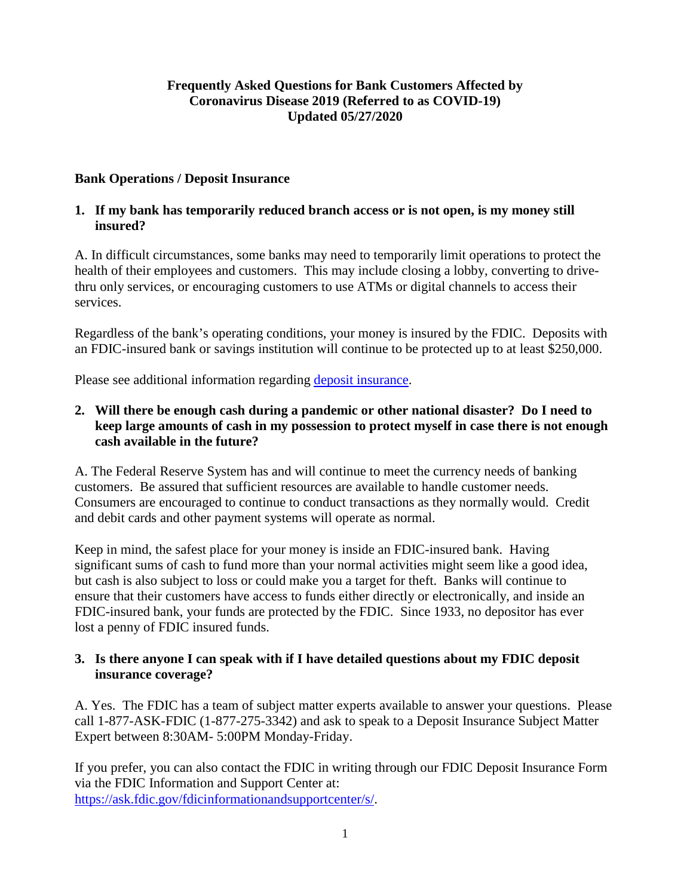### **Frequently Asked Questions for Bank Customers Affected by Coronavirus Disease 2019 (Referred to as COVID-19) Updated 05/27/2020**

#### **Bank Operations / Deposit Insurance**

#### **1. If my bank has temporarily reduced branch access or is not open, is my money still insured?**

A. In difficult circumstances, some banks may need to temporarily limit operations to protect the health of their employees and customers. This may include closing a lobby, converting to drivethru only services, or encouraging customers to use ATMs or digital channels to access their services.

Regardless of the bank's operating conditions, your money is insured by the FDIC. Deposits with an FDIC-insured bank or savings institution will continue to be protected up to at least \$250,000.

Please see additional information regarding [deposit insurance.](https://www.fdic.gov/deposit/)

## **2. Will there be enough cash during a pandemic or other national disaster? Do I need to keep large amounts of cash in my possession to protect myself in case there is not enough cash available in the future?**

A. The Federal Reserve System has and will continue to meet the currency needs of banking customers. Be assured that sufficient resources are available to handle customer needs. Consumers are encouraged to continue to conduct transactions as they normally would. Credit and debit cards and other payment systems will operate as normal.

Keep in mind, the safest place for your money is inside an FDIC-insured bank. Having significant sums of cash to fund more than your normal activities might seem like a good idea, but cash is also subject to loss or could make you a target for theft. Banks will continue to ensure that their customers have access to funds either directly or electronically, and inside an FDIC-insured bank, your funds are protected by the FDIC. Since 1933, no depositor has ever lost a penny of FDIC insured funds.

#### **3. Is there anyone I can speak with if I have detailed questions about my FDIC deposit insurance coverage?**

A. Yes. The FDIC has a team of subject matter experts available to answer your questions. Please call 1-877-ASK-FDIC (1-877-275-3342) and ask to speak to a Deposit Insurance Subject Matter Expert between 8:30AM- 5:00PM Monday-Friday.

If you prefer, you can also contact the FDIC in writing through our FDIC Deposit Insurance Form via the FDIC Information and Support Center at: [https://ask.fdic.gov/fdicinformationandsupportcenter/s/.](https://ask.fdic.gov/fdicinformationandsupportcenter/s/)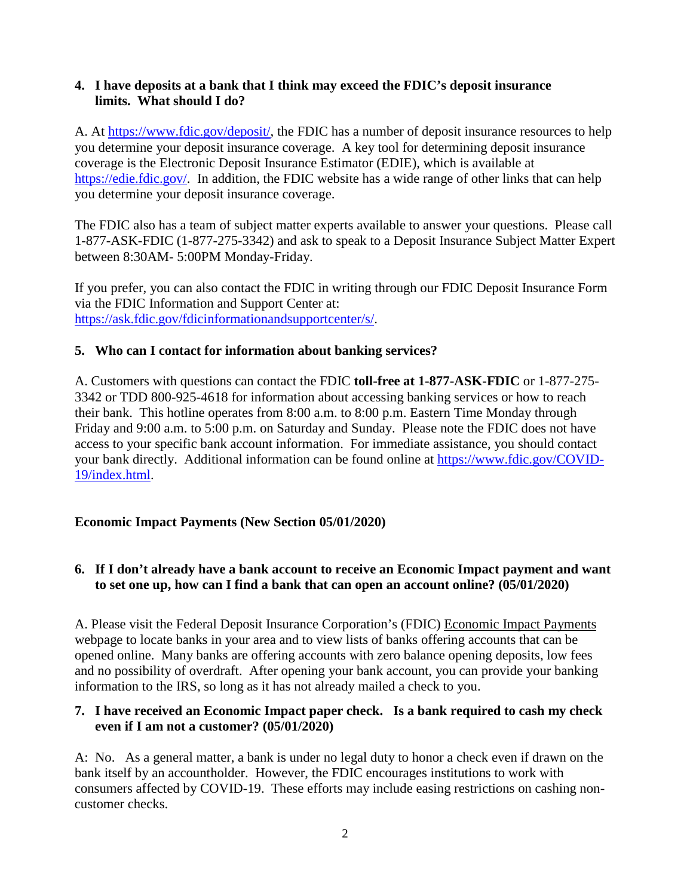#### **4. I have deposits at a bank that I think may exceed the FDIC's deposit insurance limits. What should I do?**

A. At [https://www.fdic.gov/deposit/,](https://www.fdic.gov/deposit/) the FDIC has a number of deposit insurance resources to help you determine your deposit insurance coverage. A key tool for determining deposit insurance coverage is the Electronic Deposit Insurance Estimator (EDIE), which is available at [https://edie.fdic.gov/.](https://edie.fdic.gov/) In addition, the FDIC website has a wide range of other links that can help you determine your deposit insurance coverage.

The FDIC also has a team of subject matter experts available to answer your questions. Please call 1-877-ASK-FDIC (1-877-275-3342) and ask to speak to a Deposit Insurance Subject Matter Expert between 8:30AM- 5:00PM Monday-Friday.

If you prefer, you can also contact the FDIC in writing through our FDIC Deposit Insurance Form via the FDIC Information and Support Center at: [https://ask.fdic.gov/fdicinformationandsupportcenter/s/.](https://ask.fdic.gov/fdicinformationandsupportcenter/s/)

#### **5. Who can I contact for information about banking services?**

A. Customers with questions can contact the FDIC **toll-free at 1-877-ASK-FDIC** or 1-877-275- 3342 or TDD 800-925-4618 for information about accessing banking services or how to reach their bank. This hotline operates from 8:00 a.m. to 8:00 p.m. Eastern Time Monday through Friday and 9:00 a.m. to 5:00 p.m. on Saturday and Sunday. Please note the FDIC does not have access to your specific bank account information. For immediate assistance, you should contact your bank directly. Additional information can be found online at [https://www.fdic.gov/COVID-](https://www.fdic.gov/coronavirus/index.html)[19/index.html.](https://www.fdic.gov/coronavirus/index.html)

## **Economic Impact Payments (New Section 05/01/2020)**

## **6. If I don't already have a bank account to receive an Economic Impact payment and want to set one up, how can I find a bank that can open an account online? (05/01/2020)**

A. Please visit the Federal Deposit Insurance Corporation's (FDIC) [Economic Impact Payments](https://www.fdic.gov/coronavirus/economic-impact-payments/index.html) webpage to locate banks in your area and to view lists of banks offering accounts that can be opened online. Many banks are offering accounts with zero balance opening deposits, low fees and no possibility of overdraft. After opening your bank account, you can provide your banking information to the IRS, so long as it has not already mailed a check to you.

#### **7. I have received an Economic Impact paper check. Is a bank required to cash my check even if I am not a customer? (05/01/2020)**

A: No. As a general matter, a bank is under no legal duty to honor a check even if drawn on the bank itself by an accountholder. However, the FDIC encourages institutions to work with consumers affected by COVID-19. These efforts may include easing restrictions on cashing noncustomer checks.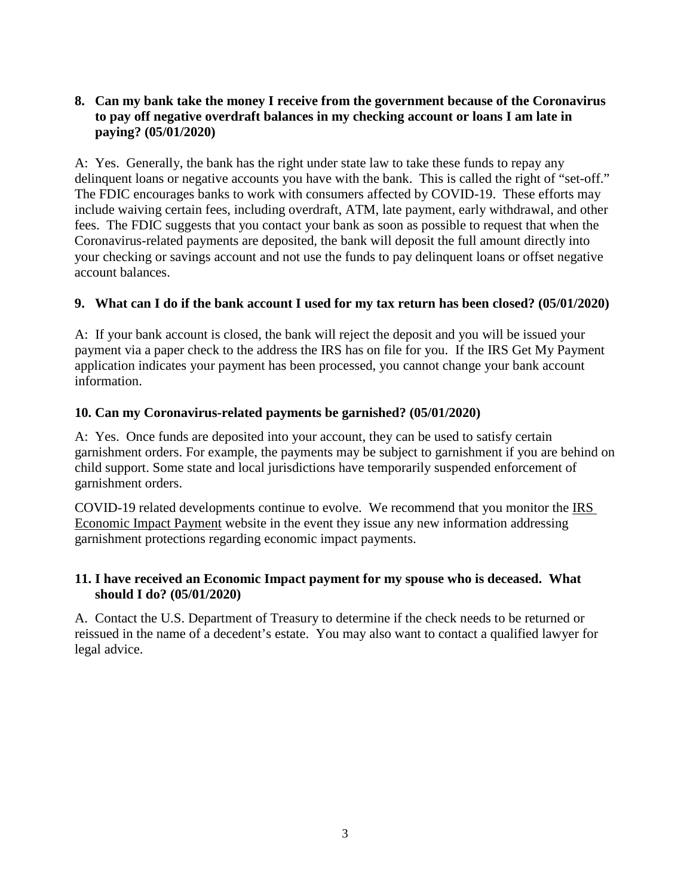## **8. Can my bank take the money I receive from the government because of the Coronavirus to pay off negative overdraft balances in my checking account or loans I am late in paying? (05/01/2020)**

A: Yes. Generally, the bank has the right under state law to take these funds to repay any delinquent loans or negative accounts you have with the bank. This is called the right of "set-off." The FDIC encourages banks to work with consumers affected by COVID-19. These efforts may include waiving certain fees, including overdraft, ATM, late payment, early withdrawal, and other fees. The FDIC suggests that you contact your bank as soon as possible to request that when the Coronavirus-related payments are deposited, the bank will deposit the full amount directly into your checking or savings account and not use the funds to pay delinquent loans or offset negative account balances.

## **9. What can I do if the bank account I used for my tax return has been closed? (05/01/2020)**

A: If your bank account is closed, the bank will reject the deposit and you will be issued your payment via a paper check to the address the IRS has on file for you. If the IRS Get My Payment application indicates your payment has been processed, you cannot change your bank account information.

#### **10. Can my Coronavirus-related payments be garnished? (05/01/2020)**

A: Yes. Once funds are deposited into your account, they can be used to satisfy certain garnishment orders. For example, the payments may be subject to garnishment if you are behind on child support. Some state and local jurisdictions have temporarily suspended enforcement of garnishment orders.

COVID-19 related developments continue to evolve. We recommend that you monitor the [IRS](https://www.irs.gov/coronavirus/economic-impact-payments)  [Economic Impact Payment](https://www.irs.gov/coronavirus/economic-impact-payments) website in the event they issue any new information addressing garnishment protections regarding economic impact payments.

#### **11. I have received an Economic Impact payment for my spouse who is deceased. What should I do? (05/01/2020)**

A. Contact the U.S. Department of Treasury to determine if the check needs to be returned or reissued in the name of a decedent's estate. You may also want to contact a qualified lawyer for legal advice.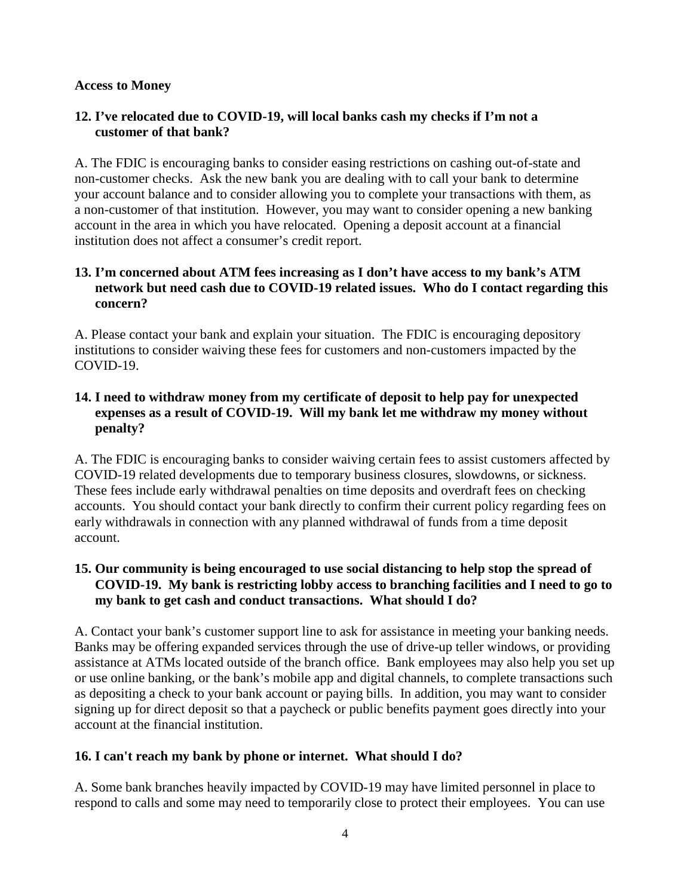#### **Access to Money**

## **12. I've relocated due to COVID-19, will local banks cash my checks if I'm not a customer of that bank?**

A. The FDIC is encouraging banks to consider easing restrictions on cashing out-of-state and non-customer checks. Ask the new bank you are dealing with to call your bank to determine your account balance and to consider allowing you to complete your transactions with them, as a non-customer of that institution. However, you may want to consider opening a new banking account in the area in which you have relocated. Opening a deposit account at a financial institution does not affect a consumer's credit report.

### **13. I'm concerned about ATM fees increasing as I don't have access to my bank's ATM network but need cash due to COVID-19 related issues. Who do I contact regarding this concern?**

A. Please contact your bank and explain your situation. The FDIC is encouraging depository institutions to consider waiving these fees for customers and non-customers impacted by the COVID-19.

## **14. I need to withdraw money from my certificate of deposit to help pay for unexpected expenses as a result of COVID-19. Will my bank let me withdraw my money without penalty?**

A. The FDIC is encouraging banks to consider waiving certain fees to assist customers affected by COVID-19 related developments due to temporary business closures, slowdowns, or sickness. These fees include early withdrawal penalties on time deposits and overdraft fees on checking accounts. You should contact your bank directly to confirm their current policy regarding fees on early withdrawals in connection with any planned withdrawal of funds from a time deposit account.

## **15. Our community is being encouraged to use social distancing to help stop the spread of COVID-19. My bank is restricting lobby access to branching facilities and I need to go to my bank to get cash and conduct transactions. What should I do?**

A. Contact your bank's customer support line to ask for assistance in meeting your banking needs. Banks may be offering expanded services through the use of drive-up teller windows, or providing assistance at ATMs located outside of the branch office. Bank employees may also help you set up or use online banking, or the bank's mobile app and digital channels, to complete transactions such as depositing a check to your bank account or paying bills. In addition, you may want to consider signing up for direct deposit so that a paycheck or public benefits payment goes directly into your account at the financial institution.

## **16. I can't reach my bank by phone or internet. What should I do?**

A. Some bank branches heavily impacted by COVID-19 may have limited personnel in place to respond to calls and some may need to temporarily close to protect their employees. You can use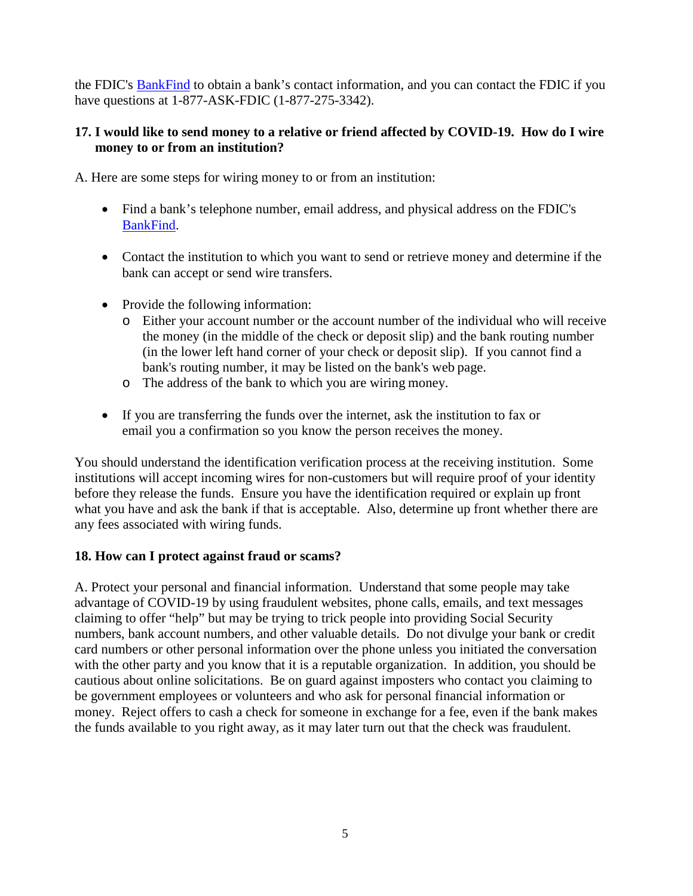the FDIC's [BankFind](https://research2.fdic.gov/bankfind/) to obtain a bank's contact information, and you can contact the FDIC if you have questions at 1-877-ASK-FDIC (1-877-275-3342).

## **17. I would like to send money to a relative or friend affected by COVID-19. How do I wire money to or from an institution?**

A. Here are some steps for wiring money to or from an institution:

- Find a bank's telephone number, email address, and physical address on the FDIC's [BankFind.](https://research2.fdic.gov/bankfind/)
- Contact the institution to which you want to send or retrieve money and determine if the bank can accept or send wire transfers.
- Provide the following information:
	- o Either your account number or the account number of the individual who will receive the money (in the middle of the check or deposit slip) and the bank routing number (in the lower left hand corner of your check or deposit slip). If you cannot find a bank's routing number, it may be listed on the bank's web page.
	- o The address of the bank to which you are wiring money.
- If you are transferring the funds over the internet, ask the institution to fax or email you a confirmation so you know the person receives the money.

You should understand the identification verification process at the receiving institution. Some institutions will accept incoming wires for non-customers but will require proof of your identity before they release the funds. Ensure you have the identification required or explain up front what you have and ask the bank if that is acceptable. Also, determine up front whether there are any fees associated with wiring funds.

## **18. How can I protect against fraud or scams?**

A. Protect your personal and financial information. Understand that some people may take advantage of COVID-19 by using fraudulent websites, phone calls, emails, and text messages claiming to offer "help" but may be trying to trick people into providing Social Security numbers, bank account numbers, and other valuable details. Do not divulge your bank or credit card numbers or other personal information over the phone unless you initiated the conversation with the other party and you know that it is a reputable organization. In addition, you should be cautious about online solicitations. Be on guard against imposters who contact you claiming to be government employees or volunteers and who ask for personal financial information or money. Reject offers to cash a check for someone in exchange for a fee, even if the bank makes the funds available to you right away, as it may later turn out that the check was fraudulent.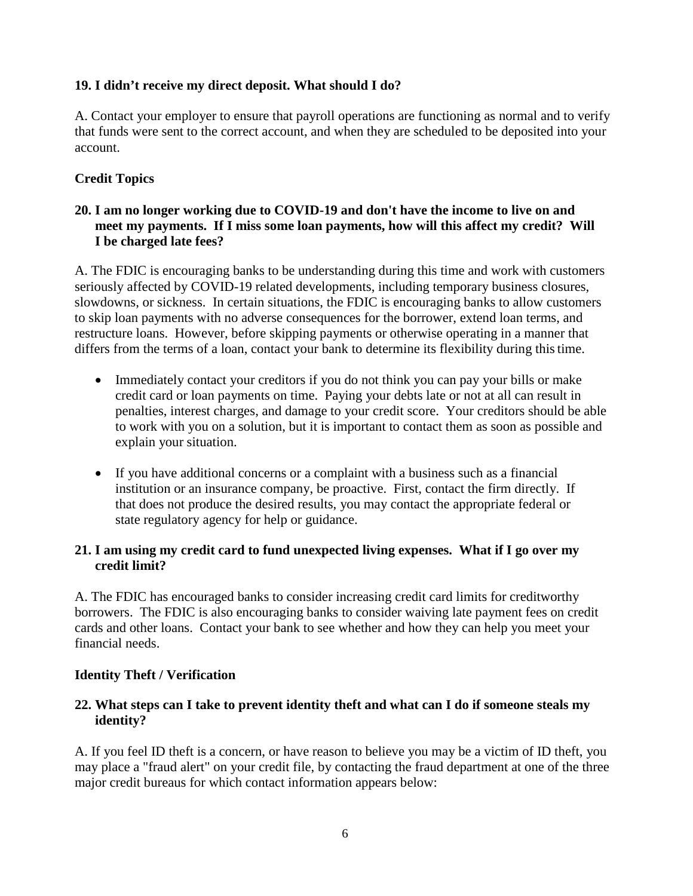## **19. I didn't receive my direct deposit. What should I do?**

A. Contact your employer to ensure that payroll operations are functioning as normal and to verify that funds were sent to the correct account, and when they are scheduled to be deposited into your account.

## **Credit Topics**

### **20. I am no longer working due to COVID-19 and don't have the income to live on and meet my payments. If I miss some loan payments, how will this affect my credit? Will I be charged late fees?**

A. The FDIC is encouraging banks to be understanding during this time and work with customers seriously affected by COVID-19 related developments, including temporary business closures, slowdowns, or sickness. In certain situations, the FDIC is encouraging banks to allow customers to skip loan payments with no adverse consequences for the borrower, extend loan terms, and restructure loans. However, before skipping payments or otherwise operating in a manner that differs from the terms of a loan, contact your bank to determine its flexibility during this time.

- Immediately contact your creditors if you do not think you can pay your bills or make credit card or loan payments on time. Paying your debts late or not at all can result in penalties, interest charges, and damage to your credit score. Your creditors should be able to work with you on a solution, but it is important to contact them as soon as possible and explain your situation.
- If you have additional concerns or a complaint with a business such as a financial institution or an insurance company, be proactive. First, contact the firm directly. If that does not produce the desired results, you may contact the appropriate federal or state regulatory agency for help or guidance.

## **21. I am using my credit card to fund unexpected living expenses. What if I go over my credit limit?**

A. The FDIC has encouraged banks to consider increasing credit card limits for creditworthy borrowers.The FDIC is also encouraging banks to consider waiving late payment fees on credit cards and other loans. Contact your bank to see whether and how they can help you meet your financial needs.

## **Identity Theft / Verification**

#### **22. What steps can I take to prevent identity theft and what can I do if someone steals my identity?**

A. If you feel ID theft is a concern, or have reason to believe you may be a victim of ID theft, you may place a "fraud alert" on your credit file, by contacting the fraud department at one of the three major credit bureaus for which contact information appears below: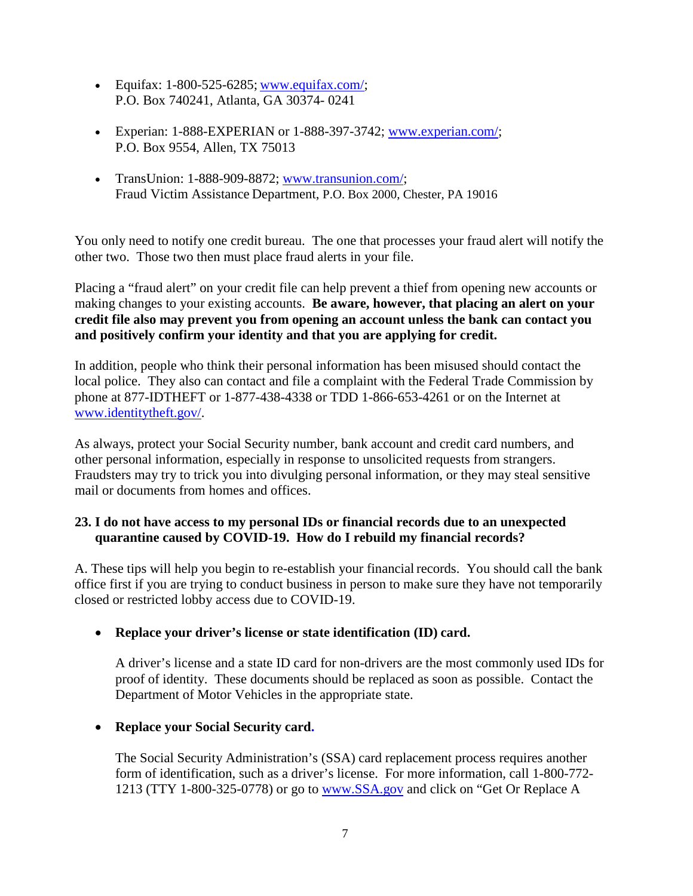- Equifax:  $1-800-525-6285$ ; [www.equifax.com/;](http://www.equifax.com/) P.O. Box 740241, Atlanta, GA 30374- 0241
- Experian: 1-888-EXPERIAN or 1-888-397-3742; [www.experian.com/;](http://www.experian.com/) P.O. Box 9554, Allen, TX 75013
- TransUnion: 1-888-909-8872; [www.transunion.com/;](http://www.transunion.com/) Fraud Victim Assistance Department, P.O. Box 2000, Chester, PA 19016

You only need to notify one credit bureau. The one that processes your fraud alert will notify the other two. Those two then must place fraud alerts in your file.

Placing a "fraud alert" on your credit file can help prevent a thief from opening new accounts or making changes to your existing accounts. **Be aware, however, that placing an alert on your credit file also may prevent you from opening an account unless the bank can contact you and positively confirm your identity and that you are applying for credit.**

In addition, people who think their personal information has been misused should contact the local police. They also can contact and file a complaint with the Federal Trade Commission by phone at 877-IDTHEFT or 1-877-438-4338 or TDD 1-866-653-4261 or on the Internet at [www.identitytheft.gov/.](https://www.identitytheft.gov/)

As always, protect your Social Security number, bank account and credit card numbers, and other personal information, especially in response to unsolicited requests from strangers. Fraudsters may try to trick you into divulging personal information, or they may steal sensitive mail or documents from homes and offices.

## **23. I do not have access to my personal IDs or financial records due to an unexpected quarantine caused by COVID-19. How do I rebuild my financial records?**

A. These tips will help you begin to re-establish your financial records. You should call the bank office first if you are trying to conduct business in person to make sure they have not temporarily closed or restricted lobby access due to COVID-19.

• **Replace your driver's license or state identification (ID) card.**

A driver's license and a state ID card for non-drivers are the most commonly used IDs for proof of identity. These documents should be replaced as soon as possible. Contact the Department of Motor Vehicles in the appropriate state.

# • **Replace your Social Security card.**

The Social Security Administration's (SSA) card replacement process requires another form of identification, such as a driver's license. For more information, call 1-800-772 1213 (TTY 1-800-325-0778) or go to [www.SSA.gov](https://www.ssa.gov/) and click on "Get Or Replace A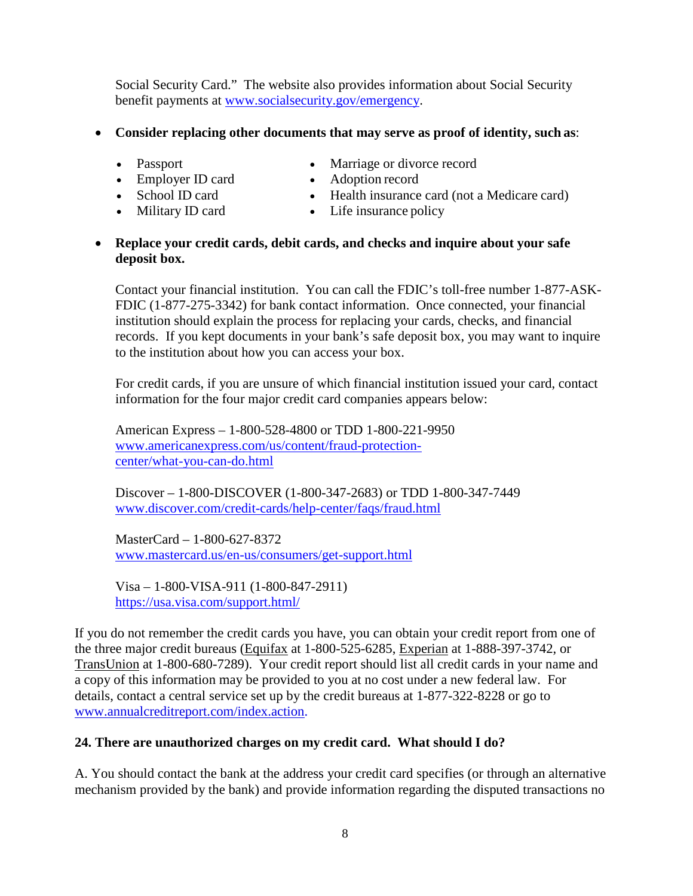Social Security Card." The website also provides information about Social Security benefit payments at [www.socialsecurity.gov/emergency.](https://www.socialsecurity.gov/emergency)

## • **Consider replacing other documents that may serve as proof of identity, such as**:

- Passport
- Employer ID card
- Marriage or divorce record • Adoption record
- School ID card
- Military ID card
- Health insurance card (not a Medicare card)
- Life insurance policy

## • **Replace your credit cards, debit cards, and checks and inquire about your safe deposit box.**

Contact your financial institution. You can call the FDIC's toll-free number 1-877-ASK-FDIC (1-877-275-3342) for bank contact information. Once connected, your financial institution should explain the process for replacing your cards, checks, and financial records. If you kept documents in your bank's safe deposit box, you may want to inquire to the institution about how you can access your box.

For credit cards, if you are unsure of which financial institution issued your card, contact information for the four major credit card companies appears below:

American Express – 1-800-528-4800 or TDD 1-800-221-9950 [www.americanexpress.com/us/content/fraud-protection](https://www.americanexpress.com/us/content/fraud-protection-center/what-you-can-do.html)[center/what-you-can-do.html](https://www.americanexpress.com/us/content/fraud-protection-center/what-you-can-do.html)

Discover – 1-800-DISCOVER (1-800-347-2683) or TDD 1-800-347-7449 [www.discover.com/credit-cards/help-center/faqs/fraud.html](https://www.discover.com/credit-cards/help-center/faqs/fraud.html)

MasterCard – 1-800-627-8372 [www.mastercard.us/en-us/consumers/get-support.html](https://www.mastercard.us/en-us/consumers/get-support.html)

Visa – 1-800-VISA-911 (1-800-847-2911) <https://usa.visa.com/support.html/>

If you do not remember the credit cards you have, you can obtain your credit report from one of the three major credit bureaus (Equifax at 1-800-525-6285, Experian at 1-888-397-3742, or TransUnion at 1-800-680-7289). Your credit report should list all credit cards in your name and a copy of this information may be provided to you at no cost under a new federal law. For details, contact a central service set up by the credit bureaus at 1-877-322-8228 or go to [www.annualcreditreport.com/index.action.](https://www.annualcreditreport.com/)

# **24. There are unauthorized charges on my credit card. What should I do?**

A. You should contact the bank at the address your credit card specifies (or through an alternative mechanism provided by the bank) and provide information regarding the disputed transactions no